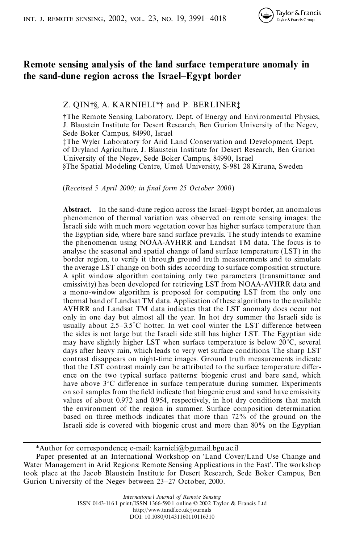

# **Remote sensing analysis of the land surface temperature anomaly in the sand-dune region across the Israel–Egypt border**

## Z. QIN†§, A. KARNIELI\*† and P. BERLINER‡

†The Remote Sensing Laboratory, Dept. of Energy and Environmental Physics, J. Blaustein Institute for Desert Research, Ben Gurion University of the Negev, Sede Boker Campus, 84990, Israel

‡The Wyler Laboratory for Arid Land Conservation and Development, Dept. of Dryland Agriculture, J. Blaustein Institute for Desert Research, Ben Gurion University of the Negev, Sede Boker Campus, 84990, Israel §The Spatial Modeling Centre, Umeå University, S-981 28 Kiruna, Sweden

(*Received 5 April 2000; in nal form 25 October 2000*)

**Abstract.** In the sand-dune region across the Israel–Egypt border, an anomalous phenomenon of thermal variation was observed on remote sensing images: the Israeli side with much more vegetation cover has higher surface temperature than the Egyptian side, where bare sand surface prevails. The study intends to examine the phenomenon using NOAA-AVHRR and Landsat TM data. The focus is to analyse the seasonal and spatial change of land surface temperature (LST) in the border region, to verify it through ground truth measurements and to simulate the average LST change on both sides according to surface composition structure. A split window algorithm containing only two parameters (transmittance and emissivity) has been developed for retrieving LST from NOAA-AVHRR data and a mono-window algorithm is proposed for computing LST from the only one thermal band of Landsat TM data. Application of these algorithms to the available AVHRR and Landsat TM data indicates that the LST anomaly does occur not only in one day but almost all the year. In hot dry summer the Israeli side is usually about  $2.5-3.5^{\circ}$ C hotter. In wet cool winter the LST difference between the sides is not large but the Israeli side still has higher LST. The Egyptian side may have slightly higher LST when surface temperature is below 20°C, several days after heavy rain, which leads to very wet surface conditions. The sharp LST contrast disappears on night-time images. Ground truth measurements indicate that the LST contrast mainly can be attributed to the surface temperature difference on the two typical surface patterns: biogenic crust and bare sand, which have above  $3^{\circ}$ C difference in surface temperature during summer. Experiments on soil samples from the field indicate that biogenic crust and sand have emissivity values of about 0.972 and 0.954, respectively, in hot dry conditions that match the environment of the region in summer. Surface composition determination based on three methods indicates that more than 72% of the ground on the Israeli side is covered with biogenic crust and more than 80% on the Egyptian

<sup>\*</sup>Author for correspondence; e-mail: karnieli@bgumail.bgu.ac.il

Paper presented at an International Workshop on 'Land Cover/Land Use Change and Water Management in Arid Regions: Remote Sensing Applications in the East'. The workshop took place at the Jacob Blaustein Institute for Desert Research, Sede Boker Campus, Ben Gurion University of the Negev between 23–27 October, 2000.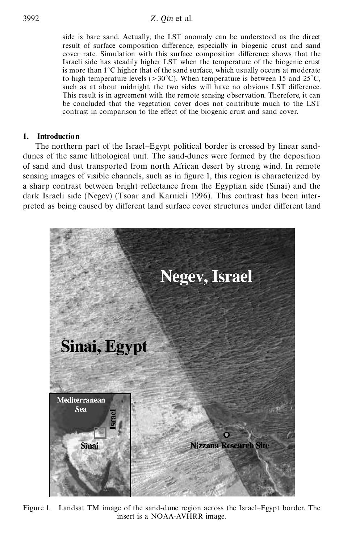side is bare sand. Actually, the LST anomaly can be understood as the direct result of surface composition difference, especially in biogenic crust and sand cover rate. Simulation with this surface composition difference shows that the Israeli side has steadily higher LST when the temperature of the biogenic crust is more than 1°C higher that of the sand surface, which usually occurs at moderate to high temperature levels ( $>30^{\circ}$ C). When temperature is between 15 and 25<sup>°</sup>C, such as at about midnight, the two sides will have no obvious LST difference. This result is in agreement with the remote sensing observation. Therefore, it can be concluded that the vegetation cover does not contribute much to the LST contrast in comparison to the effect of the biogenic crust and sand cover.

## **1. Introduction**

The northern part of the Israel–Egypt political border is crossed by linear sanddunes of the same lithological unit. The sand-dunes were formed by the deposition of sand and dust transported from north African desert by strong wind. In remote sensing images of visible channels, such as in figure 1, this region is characterized by a sharp contrast between bright reflectance from the Egyptian side (Sinai) and the dark Israeli side (Negev) (Tsoar and Karnieli 1996). This contrast has been interpreted as being caused by different land surface cover structures under different land



Figure 1. Landsat TM image of the sand-dune region across the Israel–Egypt border. The insert is a NOAA-AVHRR image.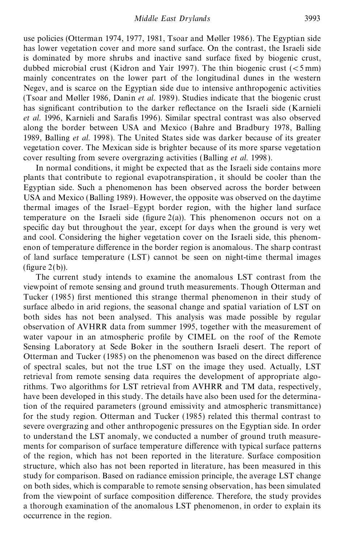use policies (Otterman 1974, 1977, 1981, Tsoar and Møller 1986). The Egyptian side has lower vegetation cover and more sand surface. On the contrast, the Israeli side is dominated by more shrubs and inactive sand surface fixed by biogenic crust, dubbed microbial crust (Kidron and Yair 1997). The thin biogenic crust ( $\lt$ 5 mm) mainly concentrates on the lower part of the longitudinal dunes in the western Negev, and is scarce on the Egyptian side due to intensive anthropogenic activities (Tsoar and Møller 1986, Danin *et al*. 1989). Studies indicate that the biogenic crust has significant contribution to the darker reflectance on the Israeli side (Karnieli *et al.* 1996, Karnieli and Sarafis 1996). Similar spectral contrast was also observed along the border between USA and Mexico (Bahre and Bradbury 1978, Balling 1989, Balling *et al.* 1998). The United States side was darker because of its greater vegetation cover. The Mexican side is brighter because of its more sparse vegetation cover resulting from severe overgrazing activities (Balling *et al.* 1998).

In normal conditions, it might be expected that as the Israeli side contains more plants that contribute to regional evapotranspiration , it should be cooler than the Egyptian side. Such a phenomenon has been observed across the border between USA and Mexico (Balling 1989). However, the opposite was observed on the daytime thermal images of the Israel–Egypt border region, with the higher land surface temperature on the Israeli side (figure  $2(a)$ ). This phenomenon occurs not on a specific day but throughout the year, except for days when the ground is very wet and cool. Considering the higher vegetation cover on the Israeli side, this phenomenon of temperature difference in the border region is anomalous. The sharp contrast of land surface temperature (LST) cannot be seen on night-time thermal images  $(figure 2(b)).$ 

The current study intends to examine the anomalous LST contrast from the viewpoint of remote sensing and ground truth measurements. Though Otterman and Tucker (1985) first mentioned this strange thermal phenomenon in their study of surface albedo in arid regions, the seasonal change and spatial variation of LST on both sides has not been analysed. This analysis was made possible by regular observation of AVHRR data from summer 1995, together with the measurement of water vapour in an atmospheric profile by CIMEL on the roof of the Remote Sensing Laboratory at Sede Boker in the southern Israeli desert. The report of Otterman and Tucker  $(1985)$  on the phenomenon was based on the direct difference of spectral scales, but not the true LST on the image they used. Actually, LST retrieval from remote sensing data requires the development of appropriate algorithms. Two algorithms for LST retrieval from AVHRR and TM data, respectively, have been developed in this study. The details have also been used for the determination of the required parameters (ground emissivity and atmospheric transmittance) for the study region. Otterman and Tucker (1985) related this thermal contrast to severe overgrazing and other anthropogenic pressures on the Egyptian side. In order to understand the LST anomaly, we conducted a number of ground truth measurements for comparison of surface temperature difference with typical surface patterns of the region, which has not been reported in the literature. Surface composition structure, which also has not been reported in literature, has been measured in this study for comparison. Based on radiance emission principle, the average LST change on both sides, which is comparable to remote sensing observation, has been simulated from the viewpoint of surface composition difference. Therefore, the study provides a thorough examination of the anomalous LST phenomenon, in order to explain its occurrence in the region.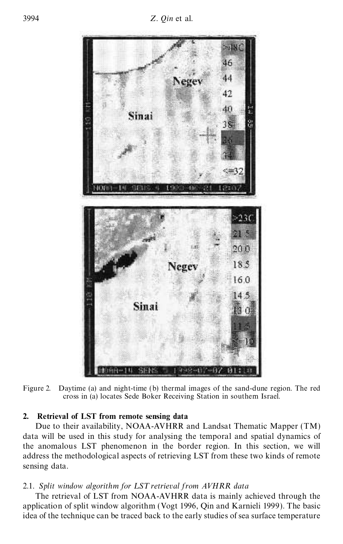

Figure 2. Daytime (a) and night-time (b) thermal images of the sand-dune region. The red cross in (a) locates Sede Boker Receiving Station in southern Israel.

## **2. Retrieval of LST from remote sensing data**

Due to their availability, NOAA-AVHRR and Landsat Thematic Mapper (TM) data will be used in this study for analysing the temporal and spatial dynamics of the anomalous LST phenomenon in the border region. In this section, we will address the methodological aspects of retrieving LST from these two kinds of remote sensing data.

## 2.1. *Split window algorithm for LST retrieval from AVHRR data*

The retrieval of LST from NOAA-AVHRR data is mainly achieved through the application of split window algorithm (Vogt 1996, Qin and Karnieli 1999). The basic idea of the technique can be traced back to the early studies of sea surface temperature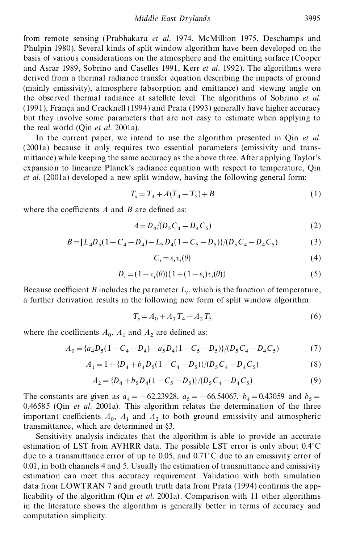*Middle East Drylands* 3995

from remote sensing (Prabhakara *et al*. 1974, McMillion 1975, Deschamps and Phulpin 1980). Several kinds of split window algorithm have been developed on the basis of various considerations on the atmosphere and the emitting surface (Cooper and Asrar 1989, Sobrino and Caselles 1991, Kerr *et al*. 1992). The algorithms were derived from a thermal radiance transfer equation describing the impacts of ground (mainly emissivity), atmosphere (absorption and emittance) and viewing angle on the observed thermal radiance at satellite level. The algorithms of Sobrino *et al.*  $(1991)$ , França and Cracknell  $(1994)$  and Prata  $(1993)$  generally have higher accuracy but they involve some parameters that are not easy to estimate when applying to the real world (Qin *et al*. 2001a).

In the current paper, we intend to use the algorithm presented in Qin *et al.* (2001a) because it only requires two essential parameters (emissivity and transmittance) while keeping the same accuracy as the above three. After applying Taylor's expansion to linearize Planck's radiance equation with respect to temperature, Qin *et al.* (2001a) developed a new split window, having the following general form:

$$
T_s = T_4 + A(T_4 - T_5) + B \tag{1}
$$

where the coefficients  $A$  and  $B$  are defined as:

$$
A = D_4 / (D_5 C_4 - D_4 C_5) \tag{2}
$$

$$
B = [L_4D_5(1 - C_4 - D_4) - L_5D_4(1 - C_5 - D_5)]/(D_5C_4 - D_4C_5)
$$
\n(3)

$$
C_i = \varepsilon_i \tau_i(\theta) \tag{4}
$$

$$
D_i = (1 - \tau_i(\theta)) \{ 1 + (1 - \varepsilon_i)\tau_i(\theta) \}
$$
\n<sup>(5)</sup>

Because coefficient *B* includes the parameter  $L_i$ , which is the function of temperature, a further derivation results in the following new form of split window algorithm:

$$
T_s = A_0 + A_1 T_4 - A_2 T_5 \tag{6}
$$

where the coefficients  $A_0$ ,  $A_1$  and  $A_2$  are defined as:

$$
A_0 = \{a_4D_5(1 - C_4 - D_4) - a_5D_4(1 - C_5 - D_5)\}/(D_5C_4 - D_4C_5)
$$
\n<sup>(7)</sup>

$$
A_1 = 1 + \{D_4 + b_4 D_5 (1 - C_4 - D_5)\} / (D_5 C_4 - D_4 C_5)
$$
\n<sup>(8)</sup>

$$
A_2 = \{D_4 + b_5 D_4 (1 - C_5 - D_5)\} / (D_5 C_4 - D_4 C_5)
$$
\n<sup>(9)</sup>

The constants are given as  $a_4 = -62.23928$ ,  $a_5 = -66.54067$ ,  $b_4 = 0.43059$  and  $b_5 = 0.45655$ 0.46585 (Qin *et al*. 2001a). This algorithm relates the determination of the three important coefficients  $A_0$ ,  $A_1$  and  $A_2$  to both ground emissivity and atmospheric transmittance, which are determined in §3.

Sensitivity analysis indicates that the algorithm is able to provide an accurate estimation of LST from AVHRR data. The possible LST error is only about 0.4°C due to a transmittance error of up to 0.05, and 0.71°C due to an emissivity error of 0.01, in both channels 4 and 5. Usually the estimation of transmittance and emissivity estimation can meet this accuracy requirement. Validation with both simulation data from LOWTRAN 7 and grouth truth data from Prata  $(1994)$  confirms the applicability of the algorithm (Qin *et al*. 2001a). Comparison with 11 other algorithms in the literature shows the algorithm is generally better in terms of accuracy and computation simplicity.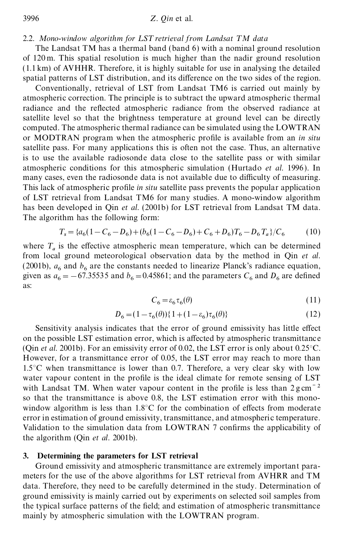#### 2.2. Mono-window algorithm for LST retrieval from Landsat TM data

The Landsat TM has a thermal band (band 6) with a nominal ground resolution of 120 m. This spatial resolution is much higher than the nadir ground resolution (1.1 km) of AVHHR. Therefore, it is highly suitable for use in analysing the detailed spatial patterns of LST distribution, and its difference on the two sides of the region.

Conventionally, retrieval of LST from Landsat TM6 is carried out mainly by atmospheric correction. The principle is to subtract the upward atmospheric thermal radiance and the reflected atmospheric radiance from the observed radiance at satellite level so that the brightness temperature at ground level can be directly computed. The atmospheric thermal radiance can be simulated using the LOWTRAN or MODTRAN program when the atmospheric profile is available from an *in situ* satellite pass. For many applications this is often not the case. Thus, an alternative is to use the available radiosonde data close to the satellite pass or with similar atmospheric conditions for this atmospheric simulation (Hurtado *et al.* 1996). In many cases, even the radiosonde data is not available due to difficulty of measuring. This lack of atmospheric profile *in situ* satellite pass prevents the popular application of LST retrieval from Landsat TM6 for many studies. A mono-window algorithm has been developed in Qin *et al.* (2001b) for LST retrieval from Landsat TM data. The algorithm has the following form:

$$
T_s = \frac{a_6(1 - C_6 - D_6) + (b_6(1 - C_6 - D_6) + C_6 + D_6)T_6 - D_6T_a}{C_6} \tag{10}
$$

where  $T_a$  is the effective atmospheric mean temperature, which can be determined from local ground meteorological observation data by the method in Qin *et al.* (2001b),  $a_6$  and  $b_6$  are the constants needed to linearize Planck's radiance equation, given as  $a_6 = -67.35535$  and  $b_6 = 0.45861$ ; and the parameters  $C_6$  and  $D_6$  are defined as:

$$
C_6 = \varepsilon_6 \tau_6(\theta) \tag{11}
$$

$$
D_6 = (1 - \tau_6(\theta)) \{ 1 + (1 - \varepsilon_6) \tau_6(\theta) \}
$$
 (12)

Sensitivity analysis indicates that the error of ground emissivity has little effect on the possible LST estimation error, which is affected by atmospheric transmittance (Qin *et al.* 2001b). For an emissivity error of 0.02, the LST error is only about 0.25°C. However, for a transmittance error of 0.05, the LST error may reach to more than 1.5 $\degree$ C when transmittance is lower than 0.7. Therefore, a very clear sky with low water vapour content in the profile is the ideal climate for remote sensing of LST with Landsat TM. When water vapour content in the profile is less than  $2 \text{ g cm}^{-2}$ so that the transmittance is above 0.8, the LST estimation error with this monowindow algorithm is less than  $1.8^{\circ}$ C for the combination of effects from moderate error in estimation of ground emissivity, transmittance, and atmospheric temperature. Validation to the simulation data from LOWTRAN 7 confirms the applicability of the algorithm (Qin *et al.* 2001b).

### **3. Determining the parameters for LST retrieval**

Ground emissivity and atmospheric transmittance are extremely important parameters for the use of the above algorithms for LST retrieval from AVHRR and TM data. Therefore, they need to be carefully determined in the study. Determination of ground emissivity is mainly carried out by experiments on selected soil samples from the typical surface patterns of the field; and estimation of atmospheric transmittance mainly by atmospheric simulation with the LOWTRAN program.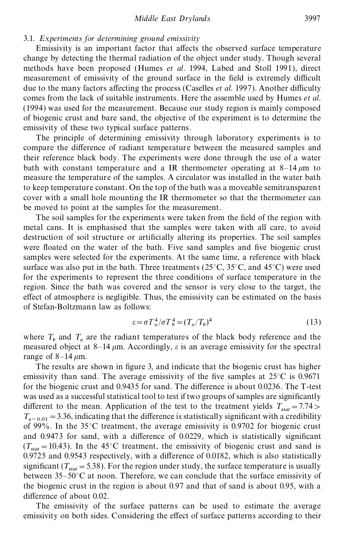## 3.1. *Experiments for determining ground emissivity*

Emissivity is an important factor that affects the observed surface temperature change by detecting the thermal radiation of the object under study. Though several methods have been proposed (Humes *et al*. 1994, Labed and Stoll 1991), direct measurement of emissivity of the ground surface in the field is extremely difficult due to the many factors affecting the process (Caselles *et al.* 1997). Another difficulty comes from the lack of suitable instruments. Here the assemble used by Humes *et al*. (1994) was used for the measurement. Because our study region is mainly composed of biogenic crust and bare sand, the objective of the experiment is to determine the emissivity of these two typical surface patterns.

The principle of determining emissivity through laboratory experiments is to compare the difference of radiant temperature between the measured samples and their reference black body. The experiments were done through the use of a water bath with constant temperature and a IR thermometer operating at  $8-14 \mu m$  to measure the temperature of the samples. A circulator was installed in the water bath to keep temperature constant. On the top of the bath was a moveable semitransparent cover with a small hole mounting the IR thermometer so that the thermometer can be moved to point at the samples for the measurement.

The soil samples for the experiments were taken from the field of the region with metal cans. It is emphasised that the samples were taken with all care, to avoid destruction of soil structure or articially altering its properties. The soil samples were floated on the water of the bath. Five sand samples and five biogenic crust samples were selected for the experiments. At the same time, a reference with black surface was also put in the bath. Three treatments ( $25^{\circ}$ C,  $35^{\circ}$ C, and  $45^{\circ}$ C) were used for the experiments to represent the three conditions of surface temperature in the region. Since the bath was covered and the sensor is very close to the target, the effect of atmosphere is negligible. Thus, the emissivity can be estimated on the basis of Stefan-Boltzmann law as follows:

$$
\varepsilon = \sigma T_o^4 / \sigma T_b^4 = (T_o / T_b)^4 \tag{13}
$$

where  $T_b$  and  $T_o$  are the radiant temperatures of the black body reference and the measured object at 8–14  $\mu$ m. Accordingly,  $\varepsilon$  is an average emissivity for the spectral range of  $8-14 \mu m$ .

The results are shown in figure 3, and indicate that the biogenic crust has higher emissivity than sand. The average emissivity of the five samples at  $25^{\circ}$ C is 0.9671 for the biogenic crust and  $0.9435$  for sand. The difference is about 0.0236. The T-test was used as a successful statistical tool to test if two groups of samples are significantly different to the mean. Application of the test to the treatment yields  $T_{stat} = 7.74 > T_{stat}$  $T_{\alpha=0.01}$  = 3.36, indicating that the difference is statistically significant with a credibility of 99%. In the 35°C treatment, the average emissivity is 0.9702 for biogenic crust and  $0.9473$  for sand, with a difference of  $0.0229$ , which is statistically significant  $(T_{stat} = 10.43)$ . In the 45<sup>°</sup>C treatment, the emissivity of biogenic crust and sand is  $0.9725$  and  $0.9543$  respectively, with a difference of  $0.0182$ , which is also statistically significant  $(T_{stat} = 5.38)$ . For the region under study, the surface temperature is usually between  $35-50^{\circ}$ C at noon. Therefore, we can conclude that the surface emissivity of the biogenic crust in the region is about 0.97 and that of sand is about 0.95, with a difference of about 0.02.

The emissivity of the surface patterns can be used to estimate the average emissivity on both sides. Considering the effect of surface patterns according to their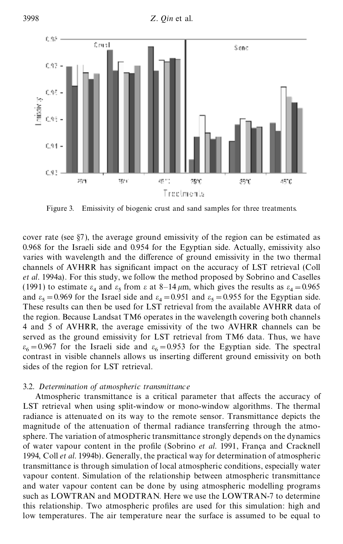

Figure 3. Emissivity of biogenic crust and sand samples for three treatments.

cover rate (see §7), the average ground emissivity of the region can be estimated as 0.968 for the Israeli side and 0.954 for the Egyptian side. Actually, emissivity also varies with wavelength and the difference of ground emissivity in the two thermal channels of AVHRR has signicant impact on the accuracy of LST retrieval (Coll *et al.* 1994a). For this study, we follow the method proposed by Sobrino and Caselles (1991) to estimate  $\varepsilon_4$  and  $\varepsilon_5$  from  $\varepsilon$  at 8–14  $\mu$ m, which gives the results as  $\varepsilon_4 = 0.965$ and  $\varepsilon_5 = 0.969$  for the Israel side and  $\varepsilon_4 = 0.951$  and  $\varepsilon_5 = 0.955$  for the Egyptian side. These results can then be used for LST retrieval from the available AVHRR data of the region. Because Landsat TM6 operates in the wavelength covering both channels 4 and 5 of AVHRR, the average emissivity of the two AVHRR channels can be served as the ground emissivity for LST retrieval from TM6 data. Thus, we have  $\varepsilon_6 = 0.967$  for the Israeli side and  $\varepsilon_6 = 0.953$  for the Egyptian side. The spectral contrast in visible channels allows us inserting different ground emissivity on both sides of the region for LST retrieval.

## 3.2. *Determination of atmospheric transmittance*

Atmospheric transmittance is a critical parameter that affects the accuracy of LST retrieval when using split-window or mono-window algorithms. The thermal radiance is attenuated on its way to the remote sensor. Transmittance depicts the magnitude of the attenuation of thermal radiance transferring through the atmosphere. The variation of atmospheric transmittance strongly depends on the dynamics of water vapour content in the profile (Sobrino *et al.* 1991, França and Cracknell 1994, Coll *et al*. 1994b). Generally, the practical way for determination of atmospheric transmittance is through simulation of local atmospheric conditions, especially water vapour content. Simulation of the relationship between atmospheric transmittance and water vapour content can be done by using atmospheric modelling programs such as LOWTRAN and MODTRAN. Here we use the LOWTRAN-7 to determine this relationship. Two atmospheric profiles are used for this simulation: high and low temperatures. The air temperature near the surface is assumed to be equal to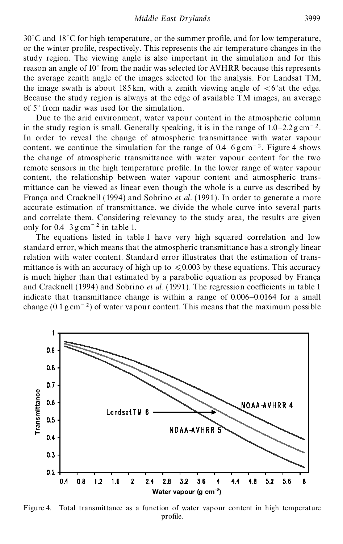$30^{\circ}$ C and  $18^{\circ}$ C for high temperature, or the summer profile, and for low temperature, or the winter prole, respectively. This represents the air temperature changes in the study region. The viewing angle is also important in the simulation and for this reason an angle of 10° from the nadir was selected for AVHRR because this represents the average zenith angle of the images selected for the analysis. For Landsat TM, the image swath is about 185 km, with a zenith viewing angle of  $\lt$  6°at the edge. Because the study region is always at the edge of available TM images, an average of 5° from nadir was used for the simulation.

Due to the arid environment, water vapour content in the atmospheric column in the study region is small. Generally speaking, it is in the range of  $1.0-2.2$  g cm<sup> $-2$ </sup>. In order to reveal the change of atmospheric transmittance with water vapour content, we continue the simulation for the range of  $0.4-6$  g cm<sup> $-2$ </sup>. Figure 4 shows the change of atmospheric transmittance with water vapour content for the two remote sensors in the high temperature profile. In the lower range of water vapour content, the relationship between water vapour content and atmospheric transmittance can be viewed as linear even though the whole is a curve as described by França and Cracknell (1994) and Sobrino *et al.* (1991). In order to generate a more accurate estimation of transmittance, we divide the whole curve into several parts and correlate them. Considering relevancy to the study area, the results are given only for  $0.4-3$  g cm<sup> $-2$ </sup> in table 1.

The equations listed in table 1 have very high squared correlation and low standard error, which means that the atmospheric transmittance has a strongly linear relation with water content. Standard error illustrates that the estimation of transmittance is with an accuracy of high up to  $\leq 0.003$  by these equations. This accuracy is much higher than that estimated by a parabolic equation as proposed by França and Cracknell (1994) and Sobrino *et al.* (1991). The regression coefficients in table 1 indicate that transmittance change is within a range of 0.006–0.0164 for a small change  $(0.1 \text{ g cm}^{-2})$  of water vapour content. This means that the maximum possible



Figure 4. Total transmittance as a function of water vapour content in high temperature profile.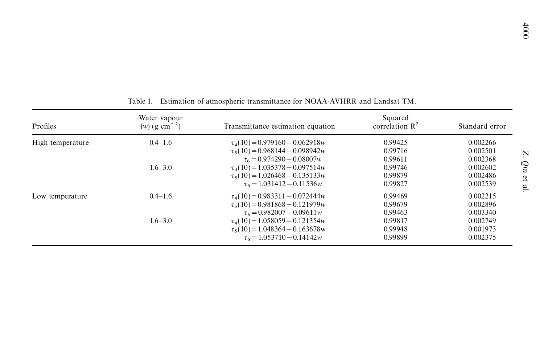|                  |                                                         |                                                                                                                                                                         |                                          | 000                                                              |  |
|------------------|---------------------------------------------------------|-------------------------------------------------------------------------------------------------------------------------------------------------------------------------|------------------------------------------|------------------------------------------------------------------|--|
| Profiles         | Table 1.<br>Water vapour<br>$(w)$ (g cm <sup>-2</sup> ) | Estimation of atmospheric transmittance for NOAA-AVHRR and Landsat TM.<br>Transmittance estimation equation                                                             | Squared<br>correlation $\mathbb{R}^2$    | Standard error                                                   |  |
| High temperature | $0.4 - 1.6$<br>$1.6 - 3.0$                              | $\tau_4(10) = 0.979160 - 0.062918w$<br>$\tau$ <sub>5</sub> (10) = 0.968144 - 0.098942 <i>w</i><br>$\tau_6 = 0.974290 - 0.08007w$<br>$\tau_4(10) = 1.035378 - 0.097514w$ | 0.99425<br>0.99716<br>0.99611<br>0.99746 | 0.002266<br>0.002501<br>$Z$ . Qin et al.<br>0.002368<br>0.002602 |  |
|                  |                                                         | $\tau$ <sub>5</sub> (10) = 1.026468 - 0.135133 <i>w</i><br>$\tau_6 = 1.031412 - 0.11536w$                                                                               | 0.99879<br>0.99827                       | 0.002486<br>0.002539                                             |  |
| Low temperature  | $0.4 - 1.6$                                             | $\tau_4(10) = 0.983311 - 0.072444w$<br>$\tau_5(10) = 0.981868 - 0.121979w$<br>$\tau_6 = 0.982007 - 0.09611w$                                                            | 0.99469<br>0.99679<br>0.99463            | 0.002215<br>0.002896<br>0.003340                                 |  |
|                  | $1.6 - 3.0$                                             | $\tau_4(10) = 1.058059 - 0.121354w$<br>$\tau_5(10) = 1.048364 - 0.163678$ w<br>$\tau_6 = 1.053710 - 0.14142w$                                                           | 0.99817<br>0.99948<br>0.99899            | 0.002749<br>0.001973<br>0.002375                                 |  |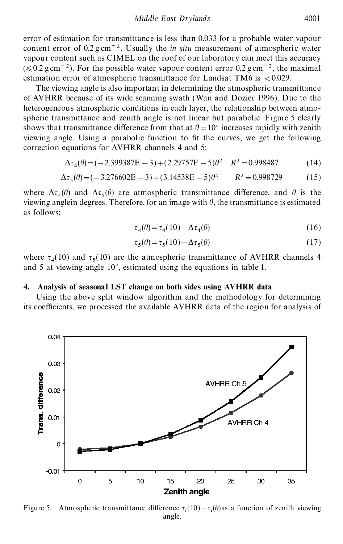error of estimation for transmittance is less than 0.033 for a probable water vapour content error of  $0.2 \text{ g cm}^{-2}$ . Usually the *in situ* measurement of atmospheric water vapour content such as CIMEL on the roof of our laboratory can meet this accuracy  $(\leq 0.2 \text{ g cm}^{-2})$ . For the possible water vapour content error 0.2 g cm<sup>-2</sup>, the maximal estimation error of atmospheric transmittance for Landsat TM6 is  $< 0.029$ .

The viewing angle is also important in determining the atmospheric transmittance of AVHRR because of its wide scanning swath (Wan and Dozier 1996). Due to the heterogeneous atmospheric conditions in each layer, the relationship between atmospheric transmittance and zenith angle is not linear but parabolic. Figure 5 clearly shows that transmittance difference from that at  $\theta=10^{\circ}$  increases rapidly with zenith viewing angle. Using a parabolic function to fit the curves, we get the following correction equations for AVHRR channels 4 and 5:

$$
\Delta \tau_4(\theta) = (-2.399387E - 3) + (2.29757E - 5)\theta^2 \quad R^2 = 0.998487 \tag{14}
$$

$$
\Delta \tau_5(\theta) = (-3.276602E - 3) + (3.14538E - 5)\theta^2 \qquad R^2 = 0.998729 \tag{15}
$$

where  $\Delta\tau_4(\theta)$  and  $\Delta\tau_5(\theta)$  are atmospheric transmittance difference, and  $\theta$  is the viewing anglein degrees. Therefore, for an image with  $\theta$ , the transmittance is estimated as follows:

$$
\tau_4(\theta) = \tau_4(10) - \Delta \tau_4(\theta) \tag{16}
$$

$$
\tau_5(\theta) = \tau_5(10) - \Delta \tau_5(\theta) \tag{17}
$$

where  $\tau_4(10)$  and  $\tau_5(10)$  are the atmospheric transmittance of AVHRR channels 4 and 5 at viewing angle 10°, estimated using the equations in table 1.

### **4. Analysis of seasonal LST change on both sides using AVHRR data**

Using the above split window algorithm and the methodology for determining its coefficients, we processed the available AVHRR data of the region for analysis of



Figure 5. Atmospheric transmittance difference  $\tau_i(10) - \tau_i(\theta)$  as a function of zenith viewing angle.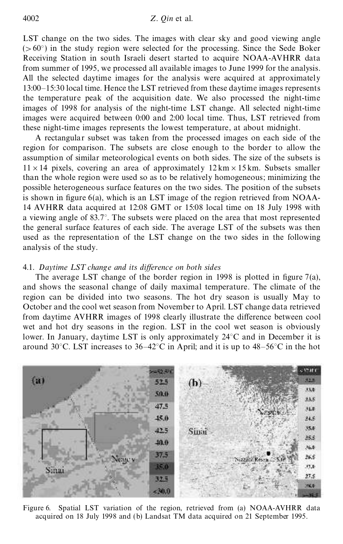LST change on the two sides. The images with clear sky and good viewing angle  $(>60^{\circ})$  in the study region were selected for the processing. Since the Sede Boker Receiving Station in south Israeli desert started to acquire NOAA-AVHRR data from summer of 1995, we processed all available images to June 1999 for the analysis. All the selected daytime images for the analysis were acquired at approximately 13:00–15:30 local time. Hence the LST retrieved from these daytime images represents the temperature peak of the acquisition date. We also processed the night-time images of 1998 for analysis of the night-time LST change. All selected night-time images were acquired between 0:00 and 2:00 local time. Thus, LST retrieved from these night-time images represents the lowest temperature, at about midnight.

A rectangular subset was taken from the processed images on each side of the region for comparison. The subsets are close enough to the border to allow the assumption of similar meteorological events on both sides. The size of the subsets is  $11 \times 14$  pixels, covering an area of approximately  $12 \text{ km} \times 15 \text{ km}$ . Subsets smaller than the whole region were used so as to be relatively homogeneous; minimizing the possible heterogeneous surface features on the two sides. The position of the subsets is shown in figure  $6(a)$ , which is an LST image of the region retrieved from NOAA-14 AVHRR data acquired at 12:08 GMT or 15:08 local time on 18 July 1998 with a viewing angle of 83.7°. The subsets were placed on the area that most represented the general surface features of each side. The average LST of the subsets was then used as the representation of the LST change on the two sides in the following analysis of the study.

#### 4.1. Daytime LST change and its difference on both sides

The average LST change of the border region in 1998 is plotted in figure  $7(a)$ , and shows the seasonal change of daily maximal temperature. The climate of the region can be divided into two seasons. The hot dry season is usually May to October and the cool wet season from November to April. LST change data retrieved from daytime AVHRR images of 1998 clearly illustrate the difference between cool wet and hot dry seasons in the region. LST in the cool wet season is obviously lower. In January, daytime LST is only approximately 24°C and in December it is around 30°C. LST increases to 36–42°C in April; and it is up to 48–56°C in the hot



Figure 6. Spatial LST variation of the region, retrieved from (a) NOAA-AVHRR data acquired on 18 July 1998 and (b) Landsat TM data acquired on 21 September 1995.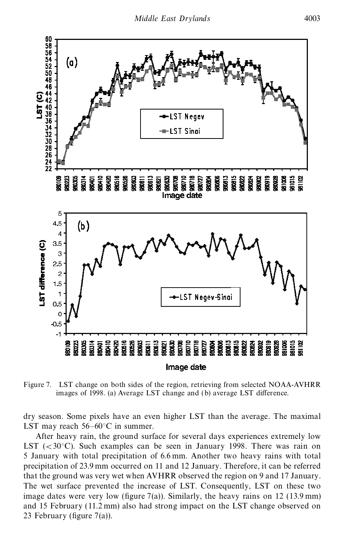

Figure 7. LST change on both sides of the region, retrieving from selected NOAA-AVHRR images of 1998. (a) Average LST change and (b) average LST difference.

dry season. Some pixels have an even higher LST than the average. The maximal LST may reach 56–60°C in summer.

After heavy rain, the ground surface for several days experiences extremely low LST  $(< 30^{\circ}$ C). Such examples can be seen in January 1998. There was rain on 5 January with total precipitation of 6.6 mm. Another two heavy rains with total precipitation of 23.9 mm occurred on 11 and 12 January. Therefore, it can be referred that the ground was very wet when AVHRR observed the region on 9 and 17 January. The wet surface prevented the increase of LST. Consequently, LST on these two image dates were very low (figure 7(a)). Similarly, the heavy rains on 12 (13.9 mm) and 15 February (11.2 mm) also had strong impact on the LST change observed on 23 February (figure  $7(a)$ ).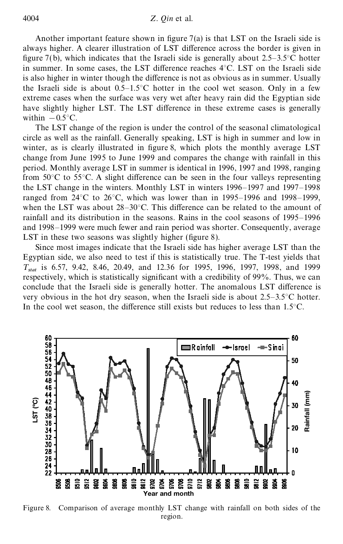Another important feature shown in figure  $7(a)$  is that LST on the Israeli side is always higher. A clearer illustration of LST difference across the border is given in figure 7(b), which indicates that the Israeli side is generally about  $2.5-3.5^{\circ}$ C hotter in summer. In some cases, the LST difference reaches  $4^{\circ}$ C. LST on the Israeli side is also higher in winter though the difference is not as obvious as in summer. Usually the Israeli side is about  $0.5-1.5^{\circ}$ C hotter in the cool wet season. Only in a few extreme cases when the surface was very wet after heavy rain did the Egyptian side have slightly higher LST. The LST difference in these extreme cases is generally within  $-0.5$ °C.

The LST change of the region is under the control of the seasonal climatological circle as well as the rainfall. Generally speaking, LST is high in summer and low in winter, as is clearly illustrated in figure 8, which plots the monthly average LST change from June 1995 to June 1999 and compares the change with rainfall in this period. Monthly average LST in summer is identical in 1996, 1997 and 1998, ranging from  $50^{\circ}$ C to  $55^{\circ}$ C. A slight difference can be seen in the four valleys representing the LST change in the winters. Monthly LST in winters 1996–1997 and 1997–1998 ranged from 24°C to 26°C, which was lower than in 1995–1996 and 1998–1999, when the LST was about  $28-30^{\circ}$ C. This difference can be related to the amount of rainfall and its distribution in the seasons. Rains in the cool seasons of 1995–1996 and 1998–1999 were much fewer and rain period was shorter. Consequently, average LST in these two seasons was slightly higher (figure 8).

Since most images indicate that the Israeli side has higher average LST than the Egyptian side, we also need to test if this is statistically true. The T-test yields that *T stat* is 6.57, 9.42, 8.46, 20.49, and 12.36 for 1995, 1996, 1997, 1998, and 1999 respectively, which is statistically significant with a credibility of 99%. Thus, we can conclude that the Israeli side is generally hotter. The anomalous LST difference is very obvious in the hot dry season, when the Israeli side is about 2.5–3.5°C hotter. In the cool wet season, the difference still exists but reduces to less than  $1.5^{\circ}$ C.



Figure 8. Comparison of average monthly LST change with rainfall on both sides of the region.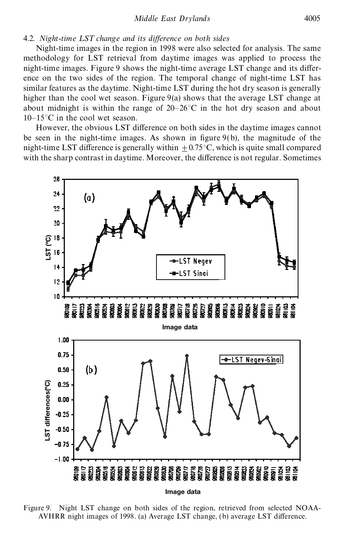*Middle East Drylands* 4005

### 4.2. *Night-time LST change and its difference on both sides*

Night-time images in the region in 1998 were also selected for analysis. The same methodology for LST retrieval from daytime images was applied to process the night-time images. Figure 9 shows the night-time average LST change and its difference on the two sides of the region. The temporal change of night-time LST has similar features as the daytime. Night-time LST during the hot dry season is generally higher than the cool wet season. Figure 9(a) shows that the average LST change at about midnight is within the range of  $20-26$ °C in the hot dry season and about 10–15°C in the cool wet season.

However, the obvious LST difference on both sides in the daytime images cannot be seen in the night-time images. As shown in figure  $9(b)$ , the magnitude of the night-time LST difference is generally within  $+0.75^{\circ}$ C, which is quite small compared with the sharp contrast in daytime. Moreover, the difference is not regular. Sometimes



Figure 9. Night LST change on both sides of the region, retrieved from selected NOAA-AVHRR night images of 1998. (a) Average LST change, (b) average LST difference.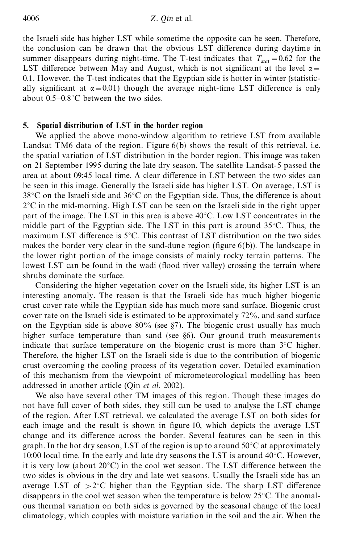the Israeli side has higher LST while sometime the opposite can be seen. Therefore, the conclusion can be drawn that the obvious LST difference during daytime in summer disappears during night-time. The T-test indicates that  $T_{stat} = 0.62$  for the LST difference between May and August, which is not significant at the level  $\alpha$ = 0.1. However, the T-test indicates that the Egyptian side is hotter in winter (statistically significant at  $\alpha$ =0.01) though the average night-time LST difference is only about 0.5–0.8°C between the two sides.

## **5. Spatial distribution of LST in the border region**

We applied the above mono-window algorithm to retrieve LST from available Landsat TM6 data of the region. Figure  $6(b)$  shows the result of this retrieval, i.e. the spatial variation of LST distribution in the border region. This image was taken on 21 September 1995 during the late dry season. The satellite Landsat-5 passed the area at about 09:45 local time. A clear difference in LST between the two sides can be seen in this image. Generally the Israeli side has higher LST. On average, LST is  $38^{\circ}$ C on the Israeli side and  $36^{\circ}$ C on the Egyptian side. Thus, the difference is about  $2^{\circ}$ C in the mid-morning. High LST can be seen on the Israeli side in the right upper part of the image. The LST in this area is above 40°C. Low LST concentrates in the middle part of the Egyptian side. The LST in this part is around  $35^{\circ}$ C. Thus, the maximum LST difference is  $5^{\circ}$ C. This contrast of LST distribution on the two sides makes the border very clear in the sand-dune region (figure  $6(b)$ ). The landscape in the lower right portion of the image consists of mainly rocky terrain patterns. The lowest LST can be found in the wadi (flood river valley) crossing the terrain where shrubs dominate the surface.

Considering the higher vegetation cover on the Israeli side, its higher LST is an interesting anomaly. The reason is that the Israeli side has much higher biogenic crust cover rate while the Egyptian side has much more sand surface. Biogenic crust cover rate on the Israeli side is estimated to be approximately 72%, and sand surface on the Egyptian side is above  $80\%$  (see §7). The biogenic crust usually has much higher surface temperature than sand (see §6). Our ground truth measurements indicate that surface temperature on the biogenic crust is more than 3°C higher. Therefore, the higher LST on the Israeli side is due to the contribution of biogenic crust overcoming the cooling process of its vegetation cover. Detailed examination of this mechanism from the viewpoint of micrometeorological modelling has been addressed in another article (Qin *et al.* 2002).

We also have several other TM images of this region. Though these images do not have full cover of both sides, they still can be used to analyse the LST change of the region. After LST retrieval, we calculated the average LST on both sides for each image and the result is shown in figure 10, which depicts the average LST change and its difference across the border. Several features can be seen in this graph. In the hot dry season, LST of the region is up to around  $50^{\circ}$ C at approximately 10:00 local time. In the early and late dry seasons the LST is around  $40^{\circ}$ C. However, it is very low (about  $20^{\circ}$ C) in the cool wet season. The LST difference between the two sides is obvious in the dry and late wet seasons. Usually the Israeli side has an average LST of  $>2^{\circ}C$  higher than the Egyptian side. The sharp LST difference disappears in the cool wet season when the temperature is below 25°C. The anomalous thermal variation on both sides is governed by the seasonal change of the local climatology, which couples with moisture variation in the soil and the air. When the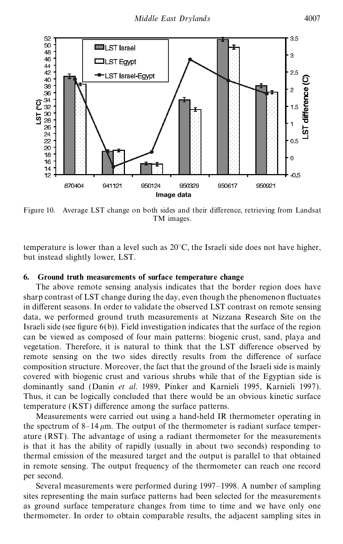

Figure 10. Average LST change on both sides and their difference, retrieving from Landsat TM images.

temperature is lower than a level such as  $20^{\circ}$ C, the Israeli side does not have higher, but instead slightly lower, LST.

## **6. Ground truth measurements of surface temperature change**

The above remote sensing analysis indicates that the border region does have sharp contrast of LST change during the day, even though the phenomenon fluctuates in different seasons. In order to validate the observed LST contrast on remote sensing data, we performed ground truth measurements at Nizzana Research Site on the Israeli side (see figure  $6(b)$ ). Field investigation indicates that the surface of the region can be viewed as composed of four main patterns: biogenic crust, sand, playa and vegetation. Therefore, it is natural to think that the LST difference observed by remote sensing on the two sides directly results from the difference of surface composition structure. Moreover, the fact that the ground of the Israeli side is mainly covered with biogenic crust and various shrubs while that of the Egyptian side is dominantly sand (Danin *et al*. 1989, Pinker and Karnieli 1995, Karnieli 1997). Thus, it can be logically concluded that there would be an obvious kinetic surface temperature (KST) difference among the surface patterns.

Measurements were carried out using a hand-held IR thermometer operating in the spectrum of  $8-14 \mu m$ . The output of the thermometer is radiant surface temperature (RST). The advantage of using a radiant thermometer for the measurements is that it has the ability of rapidly (usually in about two seconds) responding to thermal emission of the measured target and the output is parallel to that obtained in remote sensing. The output frequency of the thermometer can reach one record per second.

Several measurements were performed during 1997–1998. A number of sampling sites representing the main surface patterns had been selected for the measurements as ground surface temperature changes from time to time and we have only one thermometer. In order to obtain comparable results, the adjacent sampling sites in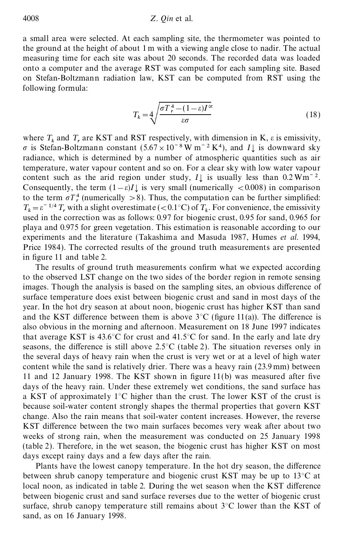### 4008 *Z. Qin* et al.

a small area were selected. At each sampling site, the thermometer was pointed to the ground at the height of about 1 m with a viewing angle close to nadir. The actual measuring time for each site was about 20 seconds. The recorded data was loaded onto a computer and the average RST was computed for each sampling site. Based on Stefan-Boltzmann radiation law, KST can be computed from RST using the following formula:

$$
T_k = 4 \sqrt{\frac{\sigma T_r^4 - (1 - \varepsilon) I^{\infty}}{\varepsilon \sigma}}
$$
\n(18)

where  $T_k$  and  $T_r$  are KST and RST respectively, with dimension in K,  $\varepsilon$  is emissivity,  $\sigma$  is Stefan-Boltzmann constant (5.67 × 10<sup>-8</sup> W m<sup>-2</sup> K<sup>4</sup>), and *I*<sub>d</sub> is downward sky radiance, which is determined by a number of atmospheric quantities such as air temperature, water vapour content and so on. For a clear sky with low water vapour content such as the arid region under study,  $I\downarrow$  is usually less than 0.2 Wm<sup> $-2$ </sup>. Consequently, the term  $(1-\varepsilon)I\downarrow$  is very small (numerically <0.008) in comparison to the term  $\sigma T_r^4$  (numerically  $> 8$ ). Thus, the computation can be further simplified:  $T_k = \varepsilon^{-1/4} T_r$  with a slight overestimate (<0.1°C) of  $T_k$ . For convenience, the emissivity used in the correction was as follows: 0.97 for biogenic crust, 0.95 for sand, 0.965 for playa and 0.975 for green vegetation. This estimation is reasonable according to our experiments and the literature (Takashima and Masuda 1987, Humes *et al.* 1994, Price 1984). The corrected results of the ground truth measurements are presented in figure 11 and table 2.

The results of ground truth measurements confirm what we expected according to the observed LST change on the two sides of the border region in remote sensing images. Though the analysis is based on the sampling sites, an obvious difference of surface temperature does exist between biogenic crust and sand in most days of the year. In the hot dry season at about noon, biogenic crust has higher KST than sand and the KST difference between them is above  $3^{\circ}$ C (figure 11(a)). The difference is also obvious in the morning and afternoon. Measurement on 18 June 1997 indicates that average KST is  $43.6^{\circ}$ C for crust and  $41.5^{\circ}$ C for sand. In the early and late dry seasons, the difference is still above 2.5 $\degree$ C (table 2). The situation reverses only in the several days of heavy rain when the crust is very wet or at a level of high water content while the sand is relatively drier. There was a heavy rain (23.9 mm) between 11 and 12 January 1998. The KST shown in figure  $11(b)$  was measured after five days of the heavy rain. Under these extremely wet conditions, the sand surface has a KST of approximately 1°C higher than the crust. The lower KST of the crust is because soil-water content strongly shapes the thermal properties that govern KST change. Also the rain means that soil-water content increases. However, the reverse KST difference between the two main surfaces becomes very weak after about two weeks of strong rain, when the measurement was conducted on 25 January 1998 (table 2). Therefore, in the wet season, the biogenic crust has higher KST on most days except rainy days and a few days after the rain.

Plants have the lowest canopy temperature. In the hot dry season, the difference between shrub canopy temperature and biogenic crust KST may be up to 13°C at local noon, as indicated in table 2. During the wet season when the KST difference between biogenic crust and sand surface reverses due to the wetter of biogenic crust surface, shrub canopy temperature still remains about  $3^{\circ}$ C lower than the KST of sand, as on 16 January 1998.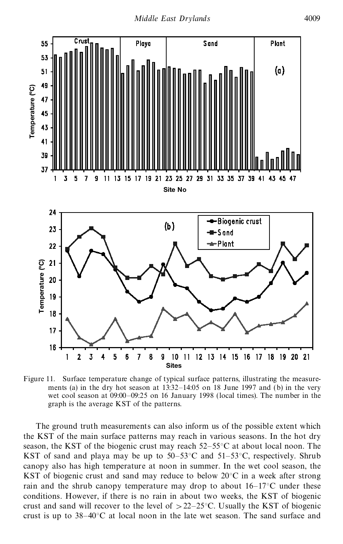

Figure 11. Surface temperature change of typical surface patterns, illustrating the measurements (a) in the dry hot season at 13:32–14:05 on 18 June 1997 and (b) in the very wet cool season at 09:00–09:25 on 16 January 1998 (local times). The number in the graph is the average KST of the patterns.

The ground truth measurements can also inform us of the possible extent which the KST of the main surface patterns may reach in various seasons. In the hot dry season, the KST of the biogenic crust may reach  $52-55^{\circ}$ C at about local noon. The KST of sand and playa may be up to  $50-53^{\circ}$ C and  $51-53^{\circ}$ C, respectively. Shrub canopy also has high temperature at noon in summer. In the wet cool season, the KST of biogenic crust and sand may reduce to below 20°C in a week after strong rain and the shrub canopy temperature may drop to about  $16-17^{\circ}$ C under these conditions. However, if there is no rain in about two weeks, the KST of biogenic crust and sand will recover to the level of  $>22-25$ °C. Usually the KST of biogenic crust is up to  $38-40^{\circ}$ C at local noon in the late wet season. The sand surface and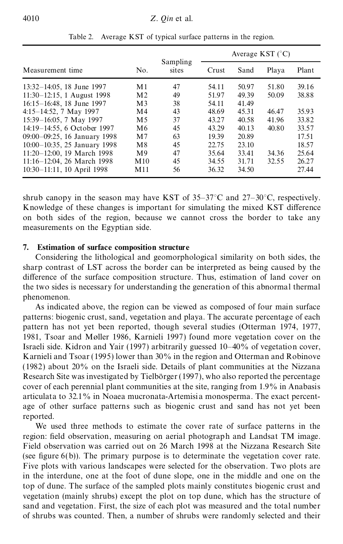|                               |                 |                   | Average KST $(^{\circ}C)$ |       |       |       |
|-------------------------------|-----------------|-------------------|---------------------------|-------|-------|-------|
| Measurement time              | No.             | Sampling<br>sites | Crust                     | Sand  | Playa | Plant |
| 13:32-14:05, 18 June 1997     | M1              | 47                | 54.11                     | 50.97 | 51.80 | 39.16 |
| $11:30-12:15$ , 1 August 1998 | M <sub>2</sub>  | 49                | 51.97                     | 49.39 | 50.09 | 38.88 |
| 16:15-16:48, 18 June 1997     | M <sub>3</sub>  | 38                | 54.11                     | 41.49 |       |       |
| $4:15-14:52$ , 7 May 1997     | M <sub>4</sub>  | 43                | 48.69                     | 45.31 | 46.47 | 35.93 |
| 15:39-16:05, 7 May 1997       | M <sub>5</sub>  | 37                | 43.27                     | 40.58 | 41.96 | 33.82 |
| 14:19-14:55, 6 October 1997   | M <sub>6</sub>  | 45                | 43.29                     | 40.13 | 40.80 | 33.57 |
| 09:00-09:25, 16 January 1998  | M <sub>7</sub>  | 63                | 19.39                     | 20.89 |       | 17.51 |
| 10:00-10:35, 25 January 1998  | M8              | 45                | 22.75                     | 23.10 |       | 18.57 |
| 11:20-12:00, 19 March 1998    | M <sub>9</sub>  | 47                | 35.64                     | 33.41 | 34.36 | 25.64 |
| 11:16-12:04, 26 March 1998    | M <sub>10</sub> | 45                | 34.55                     | 31.71 | 32.55 | 26.27 |
| 10:30-11:11, 10 April 1998    | M11             | 56                | 36.32                     | 34.50 |       | 27.44 |

Table 2. Average KST of typical surface patterns in the region.

shrub canopy in the season may have KST of  $35-37^{\circ}$ C and  $27-30^{\circ}$ C, respectively. Knowledge of these changes is important for simulating the mixed KST difference on both sides of the region, because we cannot cross the border to take any measurements on the Egyptian side.

## **7. Estimation of surface composition structure**

Considering the lithological and geomorphological similarity on both sides, the sharp contrast of LST across the border can be interpreted as being caused by the difference of the surface composition structure. Thus, estimation of land cover on the two sides is necessary for understanding the generation of this abnormal thermal phenomenon.

As indicated above, the region can be viewed as composed of four main surface patterns: biogenic crust, sand, vegetation and playa. The accurate percentage of each pattern has not yet been reported, though several studies (Otterman 1974, 1977, 1981, Tsoar and Møller 1986, Karnieli 1997) found more vegetation cover on the Israeli side. Kidron and Yair (1997) arbitrarily guessed 10–40% of vegetation cover, Karnieli and Tsoar (1995) lower than 30% in the region and Otterman and Robinove (1982) about 20% on the Israeli side. Details of plant communities at the Nizzana Research Site was investigated by Tielborger  $(1997)$ , who also reported the percentage cover of each perennial plant communities at the site, ranging from 1.9% in Anabasis articulata to 32.1% in Noaea mucronata-Artemisia monosperma. The exact percentage of other surface patterns such as biogenic crust and sand has not yet been reported.

We used three methods to estimate the cover rate of surface patterns in the region: field observation, measuring on aerial photograph and Landsat TM image. Field observation was carried out on 26 March 1998 at the Nizzana Research Site (see figure  $6(b)$ ). The primary purpose is to determinate the vegetation cover rate. Five plots with various landscapes were selected for the observation. Two plots are in the interdune, one at the foot of dune slope, one in the middle and one on the top of dune. The surface of the sampled plots mainly constitutes biogenic crust and vegetation (mainly shrubs) except the plot on top dune, which has the structure of sand and vegetation. First, the size of each plot was measured and the total number of shrubs was counted. Then, a number of shrubs were randomly selected and their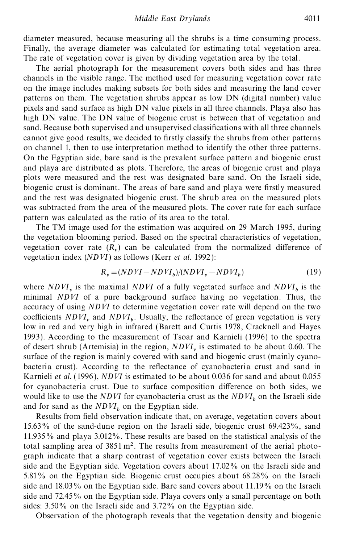diameter measured, because measuring all the shrubs is a time consuming process. Finally, the average diameter was calculated for estimating total vegetation area. The rate of vegetation cover is given by dividing vegetation area by the total.

The aerial photograph for the measurement covers both sides and has three channels in the visible range. The method used for measuring vegetation cover rate on the image includes making subsets for both sides and measuring the land cover patterns on them. The vegetation shrubs appear as low DN (digital number) value pixels and sand surface as high DN value pixels in all three channels. Playa also has high DN value. The DN value of biogenic crust is between that of vegetation and sand. Because both supervised and unsupervised classifications with all three channels cannot give good results, we decided to firstly classify the shrubs from other patterns on channel 1, then to use interpretation method to identify the other three patterns. On the Egyptian side, bare sand is the prevalent surface pattern and biogenic crust and playa are distributed as plots. Therefore, the areas of biogenic crust and playa plots were measured and the rest was designated bare sand. On the Israeli side, biogenic crust is dominant. The areas of bare sand and playa were firstly measured and the rest was designated biogenic crust. The shrub area on the measured plots was subtracted from the area of the measured plots. The cover rate for each surface pattern was calculated as the ratio of its area to the total.

The TM image used for the estimation was acquired on 29 March 1995, during the vegetation blooming period. Based on the spectral characteristics of vegetation, vegetation cover rate  $(R_v)$  can be calculated from the normalized difference of vegetation index (*NDVI*) as follows (Kerr *et al*. 1992):

$$
R_v = (NDVI - NDVI_b)/(NDVI_v - NDVI_b)
$$
\n(19)

where  $NDVI<sub>v</sub>$  is the maximal *NDVI* of a fully vegetated surface and  $NDVI<sub>b</sub>$  is the minimal *NDVI* of a pure background surface having no vegetation. Thus, the accuracy of using *NDVI* to determine vegetation cover rate will depend on the two coefficients  $NDVI<sub>v</sub>$  and  $NDVI<sub>b</sub>$ . Usually, the reflectance of green vegetation is very low in red and very high in infrared (Barett and Curtis 1978, Cracknell and Hayes 1993). According to the measurement of Tsoar and Karnieli (1996) to the spectra of desert shrub (Artemisia) in the region,  $NDVI<sub>v</sub>$  is estimated to be about 0.60. The surface of the region is mainly covered with sand and biogenic crust (mainly cyanobacteria crust). According to the reflectance of cyanobacteria crust and sand in Karnieli *et al*. (1996), *NDVI* is estimated to be about 0.036 for sand and about 0.055 for cyanobacteria crust. Due to surface composition difference on both sides, we would like to use the *NDVI* for cyanobacteria crust as the  $NDVI<sub>b</sub>$  on the Israeli side and for sand as the  $NDVI_b$  on the Egyptian side.

Results from field observation indicate that, on average, vegetation covers about 15.63% of the sand-dune region on the Israeli side, biogenic crust 69.423%, sand 11.935% and playa 3.012%. These results are based on the statistical analysis of the total sampling area of  $3851 \text{ m}^2$ . The results from measurement of the aerial photograph indicate that a sharp contrast of vegetation cover exists between the Israeli side and the Egyptian side. Vegetation covers about 17.02% on the Israeli side and 5.81% on the Egyptian side. Biogenic crust occupies about 68.28% on the Israeli side and 18.03% on the Egyptian side. Bare sand covers about 11.19% on the Israeli side and 72.45% on the Egyptian side. Playa covers only a small percentage on both sides: 3.50% on the Israeli side and 3.72% on the Egyptian side.

Observation of the photograph reveals that the vegetation density and biogenic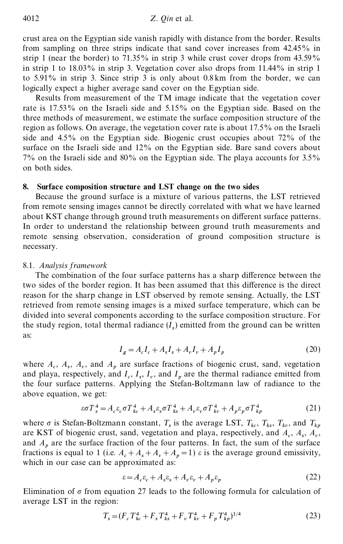crust area on the Egyptian side vanish rapidly with distance from the border. Results from sampling on three strips indicate that sand cover increases from 42.45% in strip 1 (near the border) to 71.35% in strip 3 while crust cover drops from 43.59% in strip 1 to 18.03% in strip 3. Vegetation cover also drops from 11.44% in strip 1 to 5.91% in strip 3. Since strip 3 is only about 0.8 km from the border, we can logically expect a higher average sand cover on the Egyptian side.

Results from measurement of the TM image indicate that the vegetation cover rate is 17.53% on the Israeli side and 5.15% on the Egyptian side. Based on the three methods of measurement, we estimate the surface composition structure of the region as follows. On average, the vegetation cover rate is about 17.5% on the Israeli side and 4.5% on the Egyptian side. Biogenic crust occupies about 72% of the surface on the Israeli side and 12% on the Egyptian side. Bare sand covers about 7% on the Israeli side and 80% on the Egyptian side. The playa accounts for 3.5% on both sides.

#### **8. Surface composition structure and LST change on the two sides**

Because the ground surface is a mixture of various patterns, the LST retrieved from remote sensing images cannot be directly correlated with what we have learned about KST change through ground truth measurements on different surface patterns. In order to understand the relationship between ground truth measurements and remote sensing observation, consideration of ground composition structure is necessary.

#### 8.1. *Analysis framework*

The combination of the four surface patterns has a sharp difference between the two sides of the border region. It has been assumed that this difference is the direct reason for the sharp change in LST observed by remote sensing. Actually, the LST retrieved from remote sensing images is a mixed surface temperature, which can be divided into several components according to the surface composition structure. For the study region, total thermal radiance  $(I_s)$  emitted from the ground can be written as:

$$
I_g = A_c I_c + A_s I_s + A_v I_v + A_p I_p \tag{20}
$$

where  $A_c$ ,  $A_s$ ,  $A_v$ , and  $A_p$  are surface fractions of biogenic crust, sand, vegetation and playa, respectively, and  $I_c$ ,  $I_s$ ,  $I_v$ , and  $I_p$  are the thermal radiance emitted from the four surface patterns. Applying the Stefan-Boltzmann law of radiance to the above equation, we get:

$$
\varepsilon \sigma T_s^4 = A_c \varepsilon_c \sigma T_{kc}^4 + A_s \varepsilon_s \sigma T_{ks}^4 + A_v \varepsilon_v \sigma T_{kv}^4 + A_p \varepsilon_p \sigma T_{kp}^4 \tag{21}
$$

where  $\sigma$  is Stefan-Boltzmann constant,  $T_s$  is the average LST,  $T_{kc}$ ,  $T_{ks}$ ,  $T_{kv}$ , and  $T_{kp}$ are KST of biogenic crust, sand, vegetation and playa, respectively, and  $A_c$ ,  $A_s$ ,  $A_v$ , and  $A_p$  are the surface fraction of the four patterns. In fact, the sum of the surface fractions is equal to 1 (i.e.  $A_c + A_s + A_v + A_p = 1$ )  $\varepsilon$  is the average ground emissivity, which in our case can be approximated as:

$$
\varepsilon = A_c \varepsilon_c + A_s \varepsilon_s + A_v \varepsilon_v + A_p \varepsilon_p \tag{22}
$$

Elimination of  $\sigma$  from equation 27 leads to the following formula for calculation of average LST in the region:

$$
T_s = (F_c T_{kc}^4 + F_s T_{ks}^4 + F_v T_{kv}^4 + F_p T_{kp}^4)^{1/4}
$$
\n(23)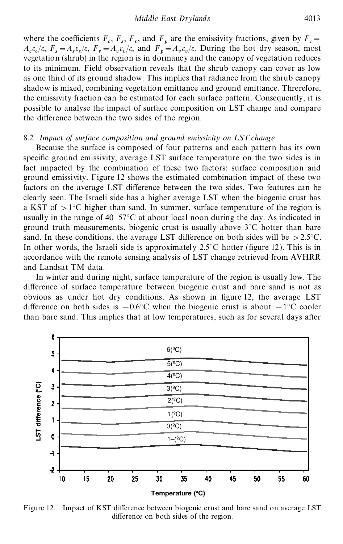where the coefficients  $F_c$ ,  $F_s$ ,  $F_v$ , and  $F_p$  are the emissivity fractions, given by  $F_c =$  $A_c \varepsilon_c / \varepsilon$ ,  $F_s = A_s \varepsilon_s / \varepsilon$ ,  $F_v = A_v \varepsilon_v / \varepsilon$ , and  $F_p = A_v \varepsilon_v / \varepsilon$ . During the hot dry season, most vegetation (shrub) in the region is in dormancy and the canopy of vegetation reduces to its minimum. Field observation reveals that the shrub canopy can cover as low as one third of its ground shadow. This implies that radiance from the shrub canopy shadow is mixed, combining vegetation emittance and ground emittance. Threrefore, the emissivity fraction can be estimated for each surface pattern. Consequently, it is possible to analyse the impact of surface composition on LST change and compare the difference between the two sides of the region.

### 8.2. *Impact of surface composition and ground emissivity on LST change*

Because the surface is composed of four patterns and each pattern has its own specific ground emissivity, average LST surface temperature on the two sides is in fact impacted by the combination of these two factors: surface composition and ground emissivity. Figure 12 shows the estimated combination impact of these two factors on the average LST difference between the two sides. Two features can be clearly seen. The Israeli side has a higher average LST when the biogenic crust has a KST of  $>1^{\circ}$ C higher than sand. In summer, surface temperature of the region is usually in the range of 40–57°C at about local noon during the day. As indicated in ground truth measurements, biogenic crust is usually above  $3^{\circ}$ C hotter than bare sand. In these conditions, the average LST difference on both sides will be  $>2.5^{\circ}$ C. In other words, the Israeli side is approximately  $2.5^{\circ}$ C hotter (figure 12). This is in accordance with the remote sensing analysis of LST change retrieved from AVHRR and Landsat TM data.

In winter and during night, surface temperature of the region is usually low. The difference of surface temperature between biogenic crust and bare sand is not as obvious as under hot dry conditions. As shown in figure 12, the average LST difference on both sides is  $-0.6^{\circ}$ C when the biogenic crust is about  $-1^{\circ}$ C cooler than bare sand. This implies that at low temperatures, such as for several days after



Figure 12. Impact of KST difference between biogenic crust and bare sand on average LST difference on both sides of the region.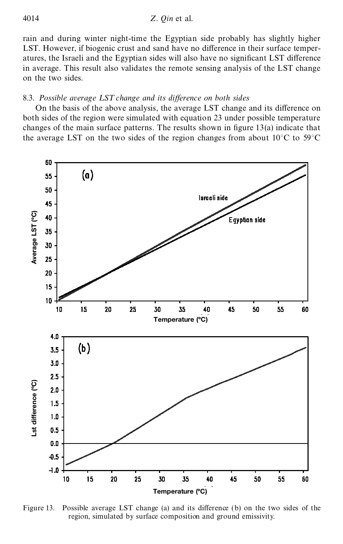#### 4014 *Z. Qin* et al.

rain and during winter night-time the Egyptian side probably has slightly higher LST. However, if biogenic crust and sand have no difference in their surface temperatures, the Israeli and the Egyptian sides will also have no significant LST difference in average. This result also validates the remote sensing analysis of the LST change on the two sides.

#### 8.3. Possible average LST change and its difference on both sides

On the basis of the above analysis, the average LST change and its difference on both sides of the region were simulated with equation 23 under possible temperature changes of the main surface patterns. The results shown in figure  $13(a)$  indicate that the average LST on the two sides of the region changes from about  $10^{\circ}$ C to 59 $^{\circ}$ C



Figure 13. Possible average LST change (a) and its difference (b) on the two sides of the region, simulated by surface composition and ground emissivity.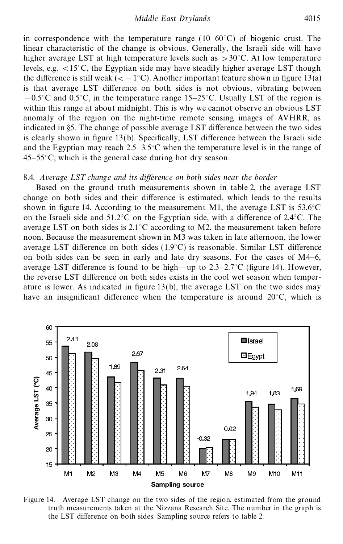in correspondence with the temperature range  $(10-60^{\circ}C)$  of biogenic crust. The linear characteristic of the change is obvious. Generally, the Israeli side will have higher average LST at high temperature levels such as  $>30^{\circ}$ C. At low temperature levels, e.g.  $\langle 15^{\circ} \text{C} \rangle$ , the Egyptian side may have steadily higher average LST though the difference is still weak ( $\lt -1$ °C). Another important feature shown in figure 13(a) is that average LST difference on both sides is not obvious, vibrating between  $-0.5^{\circ}$ C and  $0.5^{\circ}$ C, in the temperature range 15–25<sup>°</sup>C. Usually LST of the region is within this range at about midnight. This is why we cannot observe an obvious LST anomaly of the region on the night-time remote sensing images of AVHRR, as indicated in §5. The change of possible average LST difference between the two sides is clearly shown in figure  $13(b)$ . Specifically, LST difference between the Israeli side and the Egyptian may reach  $2.5-3.5^{\circ}$ C when the temperature level is in the range of 45–55°C, which is the general case during hot dry season.

#### 8.4. *Average LST change and its difference on both sides near the border*

Based on the ground truth measurements shown in table 2, the average LST change on both sides and their difference is estimated, which leads to the results shown in figure 14. According to the measurement M1, the average LST is  $53.6^{\circ}$ C on the Israeli side and  $51.2^{\circ}$ C on the Egyptian side, with a difference of  $2.4^{\circ}$ C. The average LST on both sides is  $2.1^{\circ}$ C according to M2, the measurement taken before noon. Because the measurement shown in M3 was taken in late afternoon, the lower average LST difference on both sides  $(1.9^{\circ}C)$  is reasonable. Similar LST difference on both sides can be seen in early and late dry seasons. For the cases of M4–6, average LST difference is found to be high—up to  $2.3-2.7^{\circ}$ C (figure 14). However, the reverse LST difference on both sides exists in the cool wet season when temperature is lower. As indicated in figure  $13(b)$ , the average LST on the two sides may have an insignificant difference when the temperature is around  $20^{\circ}$ C, which is



Figure 14. Average LST change on the two sides of the region, estimated from the ground truth measurements taken at the Nizzana Research Site. The number in the graph is the LST difference on both sides. Sampling source refers to table 2.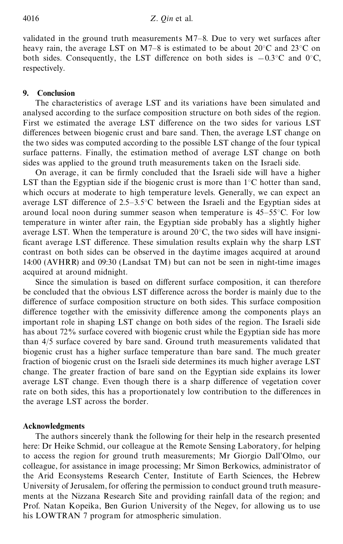validated in the ground truth measurements M7–8. Due to very wet surfaces after heavy rain, the average LST on M7–8 is estimated to be about  $20^{\circ}$ C and  $23^{\circ}$ C on both sides. Consequently, the LST difference on both sides is  $-0.3\degree$ C and 0°C, respectively.

## **9. Conclusion**

The characteristics of average LST and its variations have been simulated and analysed according to the surface composition structure on both sides of the region. First we estimated the average LST difference on the two sides for various LST differences between biogenic crust and bare sand. Then, the average LST change on the two sides was computed according to the possible LST change of the four typical surface patterns. Finally, the estimation method of average LST change on both sides was applied to the ground truth measurements taken on the Israeli side.

On average, it can be firmly concluded that the Israeli side will have a higher LST than the Egyptian side if the biogenic crust is more than  $1^{\circ}$ C hotter than sand, which occurs at moderate to high temperature levels. Generally, we can expect an average LST difference of  $2.5-3.5^{\circ}$ C between the Israeli and the Egyptian sides at around local noon during summer season when temperature is 45–55°C. For low temperature in winter after rain, the Egyptian side probably has a slightly higher average LST. When the temperature is around 20°C, the two sides will have insigni ficant average LST difference. These simulation results explain why the sharp LST contrast on both sides can be observed in the daytime images acquired at around 14:00 (AVHRR) and 09:30 (Landsat TM) but can not be seen in night-time images acquired at around midnight.

Since the simulation is based on different surface composition, it can therefore be concluded that the obvious LST difference across the border is mainly due to the difference of surface composition structure on both sides. This surface composition difference together with the emissivity difference among the components plays an important role in shaping LST change on both sides of the region. The Israeli side has about 72% surface covered with biogenic crust while the Egyptian side has more than 4/5 surface covered by bare sand. Ground truth measurements validated that biogenic crust has a higher surface temperature than bare sand. The much greater fraction of biogenic crust on the Israeli side determines its much higher average LST change. The greater fraction of bare sand on the Egyptian side explains its lower average LST change. Even though there is a sharp difference of vegetation cover rate on both sides, this has a proportionately low contribution to the differences in the average LST across the border.

## **Acknowledgments**

The authors sincerely thank the following for their help in the research presented here: Dr Heike Schmid, our colleague at the Remote Sensing Laboratory, for helping to access the region for ground truth measurements; Mr Giorgio Dall'Olmo, our colleague, for assistance in image processing; Mr Simon Berkowics, administrator of the Arid Econsystems Research Center, Institute of Earth Sciences, the Hebrew University of Jerusalem, for offering the permission to conduct ground truth measurements at the Nizzana Research Site and providing rainfall data of the region; and Prof. Natan Kopeika, Ben Gurion University of the Negev, for allowing us to use his LOWTRAN 7 program for atmospheric simulation.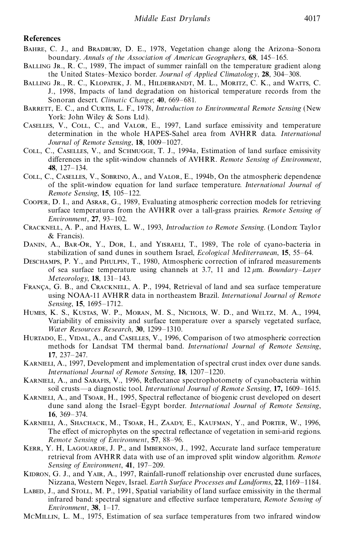## **References**

- Bahre, C. J., and Bradbury, D. E., 1978, Vegetation change along the Arizona–Sonora boundary. *Annals of the Association of American Geographers*, **68**, 145–165.
- BALLING JR., R. C., 1989, The impact of summer rainfall on the temperature gradient along the United States–Mexico border. *Journal of Applied Climatology*, **28**, 304–308.
- Balling Jr., R. C., Klopatek, J. M., Hildebrandt, M. L., Moritz, C. K., and Watts, C. J., 1998, Impacts of land degradation on historical temperature records from the Sonoran desert. *Climatic Change*; **40**, 669–681.
- BARRETT, E. C., and CURTIS, L. F., 1978, *Introduction to Environmental Remote Sensing* (New York: John Wiley & Sons Ltd).
- Caselles, V., Coll, C., and Valor, E., 1997, Land surface emissivity and temperature determination in the whole HAPES-Sahel area from AVHRR data. *International Journal of Remote Sensing*, **18**, 1009–1027.
- COLL, C., CASELLES, V., and SCHMUGGE, T. J., 1994a, Estimation of land surface emissivity differences in the split-window channels of AVHRR. *Remote Sensing of Environment*, **48**, 127–134.
- Coll, C., Caselles, V., Sobrino, A., and Valor, E., 1994b, On the atmospheric dependence of the split-window equation for land surface temperature. *International Journal of Remote Sensing*, **15**, 105–122.
- Cooper, D. I., and Asrar, G., 1989, Evaluating atmospheric correction models for retrieving surface temperatures from the AVHRR over a tall-grass prairies. *Remote Sensing of Environment*, **27**, 93–102.
- Cracknell, A. P., and Hayes, L. W., 1993, *Introduction to Remote Sensing*. (London: Taylor & Francis).
- DANIN, A., BAR-OR, Y., DOR, I., and YISRAELI, T., 1989, The role of cyano-bacteria in stabilization of sand dunes in southern Israel, *Ecological Mediterranean*, **15**, 55–64.
- Deschamps, P. Y., and Phulpin, T., 1980, Atmospheric correction of infrared measurements of sea surface temperature using channels at 3.7, 11 and  $12 \mu m$ . *Boundary–Layer Meteorology*, **18**, 131–143.
- FRANÇA, G. B., and CRACKNELL, A. P., 1994, Retrieval of land and sea surface temperature using NOAA-11 AVHRR data in northeastern Brazil. *International Journal of Remote Sensing*, **15**, 1695–1712.
- Humes, K. S., Kustas, W. P., Moran, M. S., Nichols, W. D., and Weltz, M. A., 1994, Variability of emissivity and surface temperature over a sparsely vegetated surface, *Water Resources Research*, **30**, 1299–1310.
- HURTADO, E., VIDAL, A., and CASELLES, V., 1996, Comparison of two atmospheric correction methods for Landsat TM thermal band. *International Journal of Remote Sensing*, **17**, 237–247.
- KARNIELI, A., 1997, Development and implementation of spectral crust index over dune sands. *International Journal of Remote Sensing*, **18**, 1207–1220.
- KARNIELI, A., and SARAFIS, V., 1996, Reflectance spectrophotometry of cyanobacteria within soil crusts—a diagnostic tool. *International Journal of Remote Sensing*, **17,** 1609–1615.
- KARNIELI, A., and Tsoar, H., 1995, Spectral reflectance of biogenic crust developed on desert dune sand along the Israel–Egypt border. *International Journal of Remote Sensing*, **16**, 369–374.
- Karnieli, A., Shachack, M., Tsoar, H., Zaady, E., Kaufman, Y., and Porter, W., 1996, The effect of microphytes on the spectral reflectance of vegetation in semi-arid regions. *Remote Sensing of Environment*, **57**, 88–96.
- KERR, Y. H, LAGOUARDE, J. P., and IMBERNON, J., 1992, Accurate land surface temperature retrieval from AVHRR data with use of an improved split window algorithm. *Remote Sensing of Environment*, **41**, 197–209.
- KIDRON, G. J., and YAIR, A., 1997, Rainfall-runoff relationship over encrusted dune surfaces, Nizzana, Western Negev, Israel. *Earth Surface Processes and L andforms*, **22**, 1169–1184.
- LABED, J., and STOLL, M. P., 1991, Spatial variability of land surface emissivity in the thermal infrared band: spectral signature and effective surface temperature, *Remote Sensing of Environment*, **38**, 1–17.
- McMillin, L. M., 1975, Estimation of sea surface temperatures from two infrared window